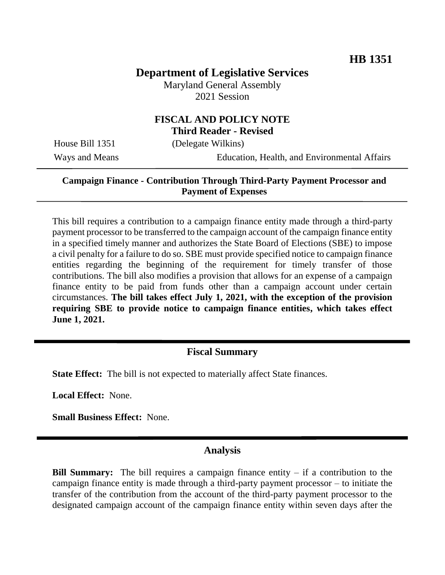# **Department of Legislative Services**

Maryland General Assembly 2021 Session

#### **FISCAL AND POLICY NOTE Third Reader - Revised**

House Bill 1351 (Delegate Wilkins)

Ways and Means Education, Health, and Environmental Affairs

### **Campaign Finance - Contribution Through Third-Party Payment Processor and Payment of Expenses**

This bill requires a contribution to a campaign finance entity made through a third-party payment processor to be transferred to the campaign account of the campaign finance entity in a specified timely manner and authorizes the State Board of Elections (SBE) to impose a civil penalty for a failure to do so. SBE must provide specified notice to campaign finance entities regarding the beginning of the requirement for timely transfer of those contributions. The bill also modifies a provision that allows for an expense of a campaign finance entity to be paid from funds other than a campaign account under certain circumstances. **The bill takes effect July 1, 2021, with the exception of the provision requiring SBE to provide notice to campaign finance entities, which takes effect June 1, 2021.**

#### **Fiscal Summary**

**State Effect:** The bill is not expected to materially affect State finances.

**Local Effect:** None.

**Small Business Effect:** None.

### **Analysis**

**Bill Summary:** The bill requires a campaign finance entity – if a contribution to the campaign finance entity is made through a third-party payment processor – to initiate the transfer of the contribution from the account of the third-party payment processor to the designated campaign account of the campaign finance entity within seven days after the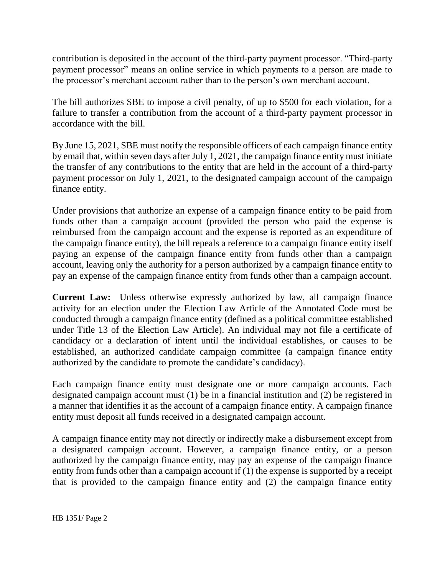contribution is deposited in the account of the third-party payment processor. "Third-party payment processor" means an online service in which payments to a person are made to the processor's merchant account rather than to the person's own merchant account.

The bill authorizes SBE to impose a civil penalty, of up to \$500 for each violation, for a failure to transfer a contribution from the account of a third-party payment processor in accordance with the bill.

By June 15, 2021, SBE must notify the responsible officers of each campaign finance entity by email that, within seven days after July 1, 2021, the campaign finance entity must initiate the transfer of any contributions to the entity that are held in the account of a third-party payment processor on July 1, 2021, to the designated campaign account of the campaign finance entity.

Under provisions that authorize an expense of a campaign finance entity to be paid from funds other than a campaign account (provided the person who paid the expense is reimbursed from the campaign account and the expense is reported as an expenditure of the campaign finance entity), the bill repeals a reference to a campaign finance entity itself paying an expense of the campaign finance entity from funds other than a campaign account, leaving only the authority for a person authorized by a campaign finance entity to pay an expense of the campaign finance entity from funds other than a campaign account.

**Current Law:** Unless otherwise expressly authorized by law, all campaign finance activity for an election under the Election Law Article of the Annotated Code must be conducted through a campaign finance entity (defined as a political committee established under Title 13 of the Election Law Article). An individual may not file a certificate of candidacy or a declaration of intent until the individual establishes, or causes to be established, an authorized candidate campaign committee (a campaign finance entity authorized by the candidate to promote the candidate's candidacy).

Each campaign finance entity must designate one or more campaign accounts. Each designated campaign account must (1) be in a financial institution and (2) be registered in a manner that identifies it as the account of a campaign finance entity. A campaign finance entity must deposit all funds received in a designated campaign account.

A campaign finance entity may not directly or indirectly make a disbursement except from a designated campaign account. However, a campaign finance entity, or a person authorized by the campaign finance entity, may pay an expense of the campaign finance entity from funds other than a campaign account if (1) the expense is supported by a receipt that is provided to the campaign finance entity and (2) the campaign finance entity